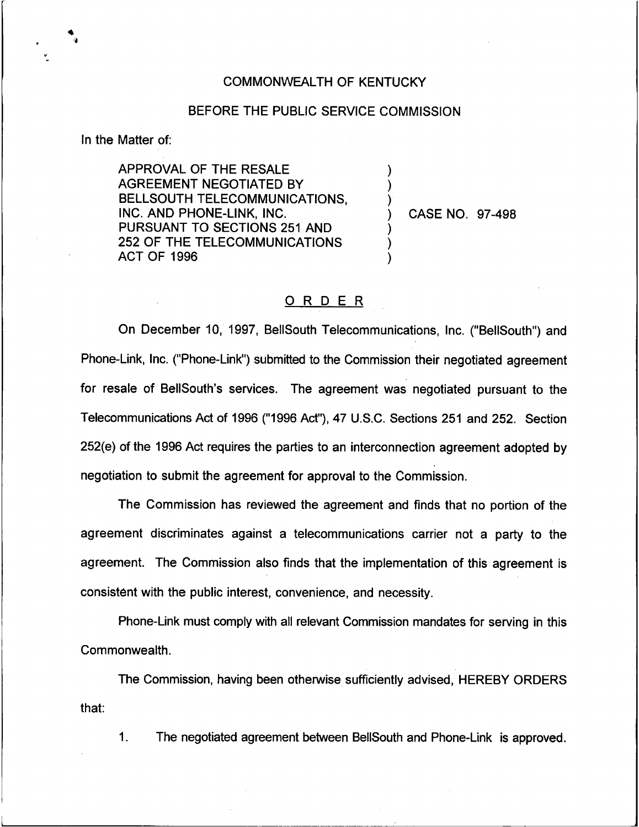## COMMONWEALTH OF KENTUCKY

## BEFORE THE PUBLIC SERVICE COMMISSION

) ) )

) ) )

In the Matter of:

APPROVAL OF THE RESALE AGREEMENT NEGOTIATED BY BELLSOUTH TELECOMMUNICATIONS, INC. AND PHONE-LINK, INC. PURSUANT TO SECTIONS 251 AND 252 OF THE TELECOMMUNICATIONS ACT OF 1996

) CASE NO. 97-498

## 0 <sup>R</sup> <sup>D</sup> E <sup>R</sup>

On December 10, 1997, BellSouth Telecommunications, Inc. ("BellSouth") and Phone-Link, Inc. ("Phone-Link") submitted to the Commission their negotiated agreemer for resale of BelISouth's services. The agreement was negotiated pursuant to the Telecommunications Act of 1996 ("1996 Act"), 47 U.S.C. Sections 251 and 252. Section 252(e) of the 1996 Act requires the parties to an interconnection agreement adopted by negotiation to submit the agreement for approval to the Commission.

The Commission has reviewed the agreement and finds that no portion of the agreement discriminates against a telecommunications carrier not a party to the agreement. The Commission also finds that the implementation of this agreement is consistent with the public interest, convenience, and necessity.

Phone-Link must comply with all relevant Commission mandates for serving in this Commonwealth.

The Commission, having been otherwise sufficiently advised, HEREBY ORDERS that:

 $\mathbf{1}$ . The negotiated agreement between BellSouth and Phone-Link is approved.